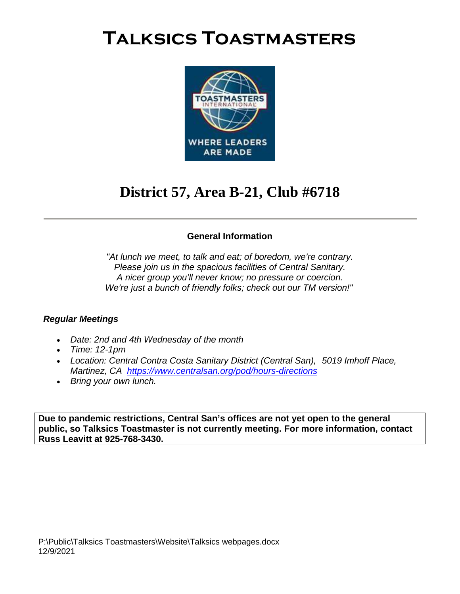

### **District 57, Area B-21, Club #6718**

#### **General Information**

*"At lunch we meet, to talk and eat; of boredom, we're contrary. Please join us in the spacious facilities of Central Sanitary. A nicer group you'll never know; no pressure or coercion. We're just a bunch of friendly folks; check out our TM version!"*

#### *Regular Meetings*

- *Date: 2nd and 4th Wednesday of the month*
- *Time: 12-1pm*
- *Location: Central Contra Costa Sanitary District (Central San), 5019 Imhoff Place, Martinez, CA <https://www.centralsan.org/pod/hours-directions>*
- *Bring your own lunch.*

**Due to pandemic restrictions, Central San's offices are not yet open to the general public, so Talksics Toastmaster is not currently meeting. For more information, contact Russ Leavitt at 925-768-3430.**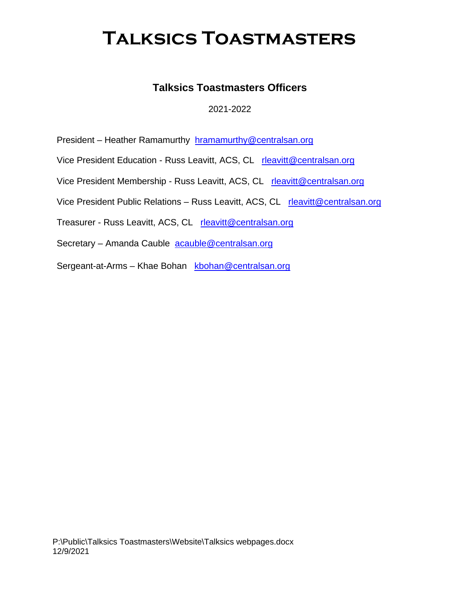### **Talksics Toastmasters Officers**

#### 2021-2022

President – Heather Ramamurthy [hramamurthy@centralsan.org](mailto:hramamurthy@centralsan.org)

Vice President Education - Russ Leavitt, ACS, CL [rleavitt@centralsan.org](mailto:rleavitt@centralsan.org)

Vice President Membership - Russ Leavitt, ACS, CL [rleavitt@centralsan.org](mailto:rleavitt@centralsan.org)

Vice President Public Relations – Russ Leavitt, ACS, CL [rleavitt@centralsan.org](mailto:rleavitt@centralsan.org)

Treasurer - Russ Leavitt, ACS, CL [rleavitt@centralsan.org](mailto:rleavitt@centralsan.org)

Secretary – Amanda Cauble [acauble@centralsan.org](mailto:acauble@centralsan.org)

Sergeant-at-Arms - Khae Bohan [kbohan@centralsan.org](mailto:kbohan@centralsan.org)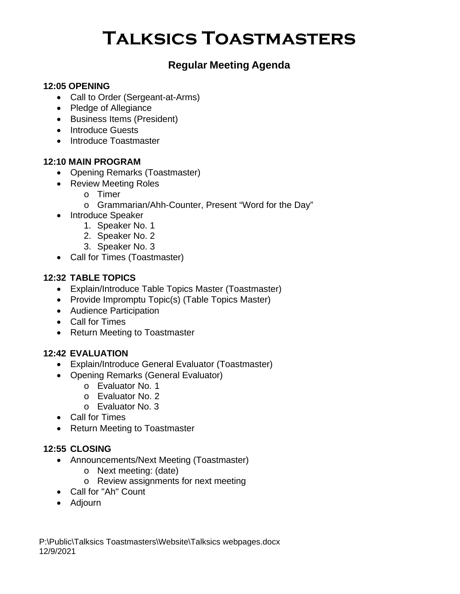### **Regular Meeting Agenda**

#### **12:05 OPENING**

- Call to Order (Sergeant-at-Arms)
- Pledge of Allegiance
- Business Items (President)
- Introduce Guests
- Introduce Toastmaster

#### **12:10 MAIN PROGRAM**

- Opening Remarks (Toastmaster)
- Review Meeting Roles
	- o Timer
	- o Grammarian/Ahh-Counter, Present "Word for the Day"
- Introduce Speaker
	- 1. Speaker No. 1
	- 2. Speaker No. 2
	- 3. Speaker No. 3
- Call for Times (Toastmaster)

#### **12:32 TABLE TOPICS**

- Explain/Introduce Table Topics Master (Toastmaster)
- Provide Impromptu Topic(s) (Table Topics Master)
- Audience Participation
- Call for Times
- Return Meeting to Toastmaster

#### **12:42 EVALUATION**

- Explain/Introduce General Evaluator (Toastmaster)
- Opening Remarks (General Evaluator)
	- o Evaluator No. 1
	- o Evaluator No. 2
	- o Evaluator No. 3
- Call for Times
- Return Meeting to Toastmaster

#### **12:55 CLOSING**

- Announcements/Next Meeting (Toastmaster)
	- o Next meeting: (date)
	- o Review assignments for next meeting
- Call for "Ah" Count
- Adjourn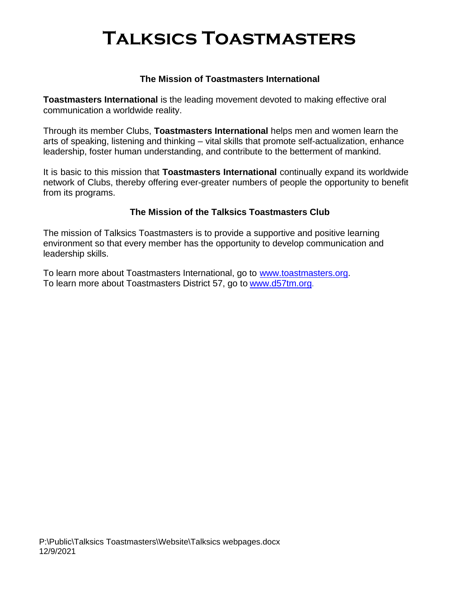#### **The Mission of Toastmasters International**

**Toastmasters International** is the leading movement devoted to making effective oral communication a worldwide reality.

Through its member Clubs, **Toastmasters International** helps men and women learn the arts of speaking, listening and thinking – vital skills that promote self-actualization, enhance leadership, foster human understanding, and contribute to the betterment of mankind.

It is basic to this mission that **Toastmasters International** continually expand its worldwide network of Clubs, thereby offering ever-greater numbers of people the opportunity to benefit from its programs.

#### **The Mission of the Talksics Toastmasters Club**

The mission of Talksics Toastmasters is to provide a supportive and positive learning environment so that every member has the opportunity to develop communication and leadership skills.

To learn more about Toastmasters International, go to [www.toastmasters.org.](http://www.toastmasters.org/) To learn more about Toastmasters District 57, go to [www.d57tm.org](http://www.d57tm.org/).